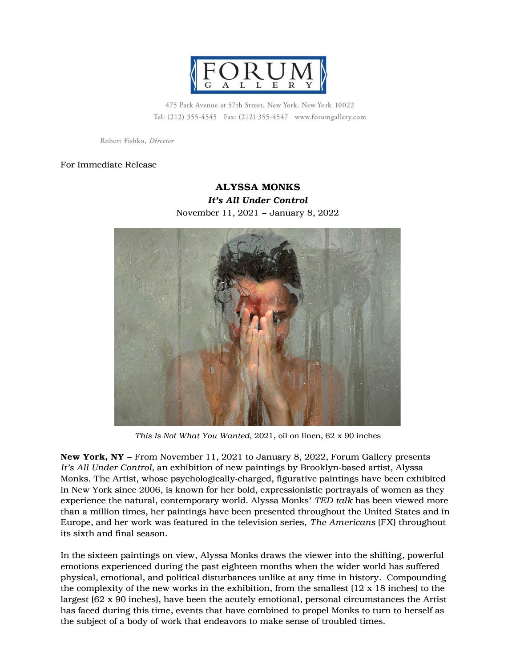

475 Park Avenue at 57th Street, New York, New York 10022 Tel: (212) 355-4545 Fax: (212) 355-4547 www.forumgallery.com

Robert Fishko, Director

## For Immediate Release

## ALYSSA MONKS *It's All Under Control* November 11, 2021 – January 8, 2022



*This Is Not What You Wanted*, 2021, oil on linen, 62 x 90 inches

New York, NY – From November 11, 2021 to January 8, 2022, Forum Gallery presents *It's All Under Control*, an exhibition of new paintings by Brooklyn-based artist, Alyssa Monks. The Artist, whose psychologically-charged, figurative paintings have been exhibited in New York since 2006, is known for her bold, expressionistic portrayals of women as they experience the natural, contemporary world. Alyssa Monks' *TED talk* has been viewed more than a million times, her paintings have been presented throughout the United States and in Europe, and her work was featured in the television series, *The Americans* (FX) throughout its sixth and final season.

In the sixteen paintings on view, Alyssa Monks draws the viewer into the shifting, powerful emotions experienced during the past eighteen months when the wider world has suffered physical, emotional, and political disturbances unlike at any time in history. Compounding the complexity of the new works in the exhibition, from the smallest  $(12 \times 18)$  inches) to the largest (62 x 90 inches), have been the acutely emotional, personal circumstances the Artist has faced during this time, events that have combined to propel Monks to turn to herself as the subject of a body of work that endeavors to make sense of troubled times.